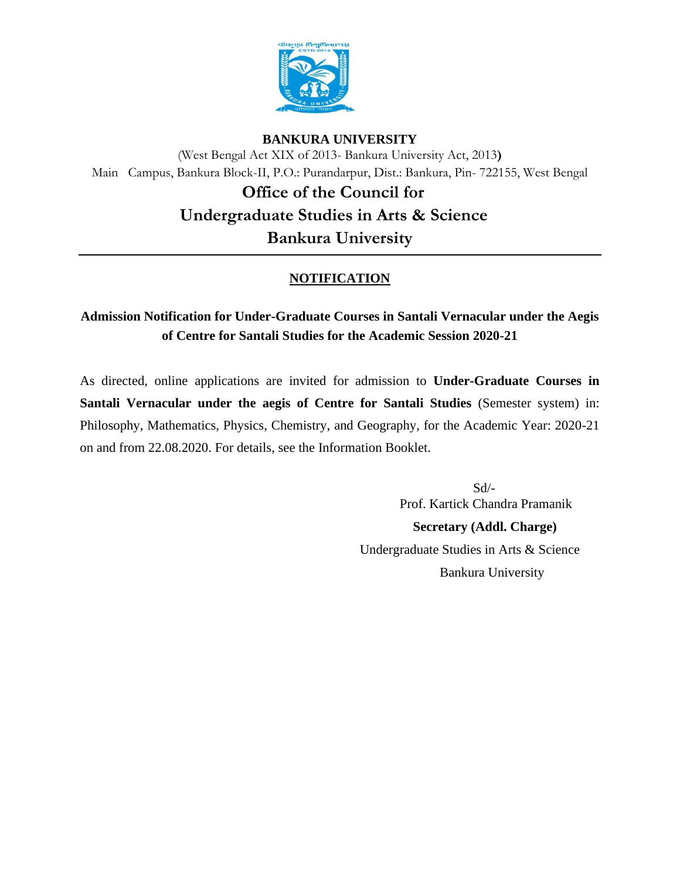

#### **BANKURA UNIVERSITY**

(West Bengal Act XIX of 2013- Bankura University Act, 2013**)** Main Campus, Bankura Block-II, P.O.: Purandarpur, Dist.: Bankura, Pin- 722155, West Bengal

> **Office of the Council for Undergraduate Studies in Arts & Science Bankura University**

# **NOTIFICATION**

# **Admission Notification for Under-Graduate Courses in Santali Vernacular under the Aegis of Centre for Santali Studies for the Academic Session 2020-21**

As directed, online applications are invited for admission to **Under-Graduate Courses in Santali Vernacular under the aegis of Centre for Santali Studies** (Semester system) in: Philosophy, Mathematics, Physics, Chemistry, and Geography, for the Academic Year: 2020-21 on and from 22.08.2020. For details, see the Information Booklet.

 Sd/- Prof. Kartick Chandra Pramanik  **Secretary (Addl. Charge)**  Undergraduate Studies in Arts & Science Bankura University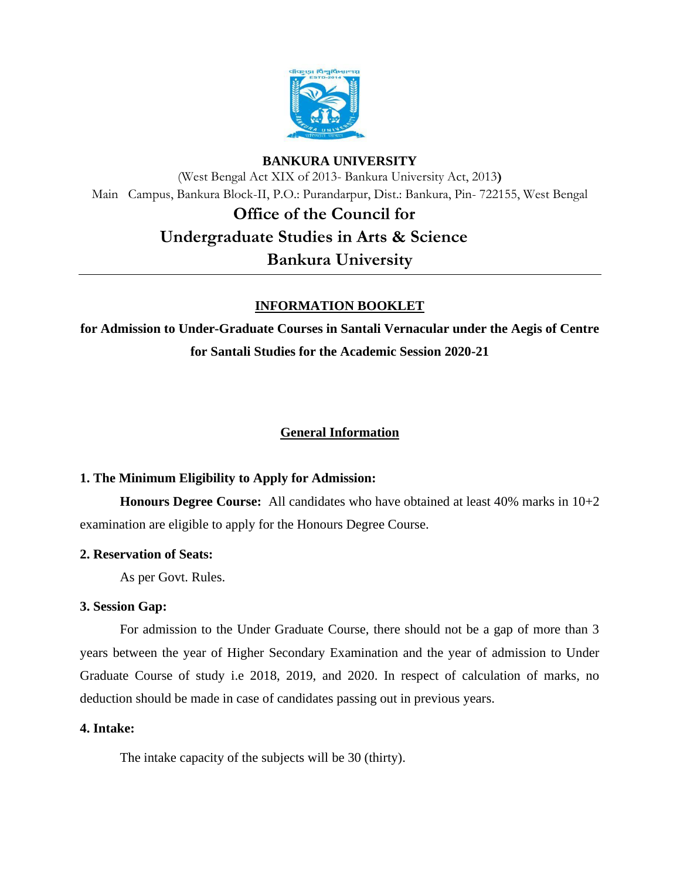

## **BANKURA UNIVERSITY**

(West Bengal Act XIX of 2013- Bankura University Act, 2013**)** Main Campus, Bankura Block-II, P.O.: Purandarpur, Dist.: Bankura, Pin- 722155, West Bengal

# **Office of the Council for Undergraduate Studies in Arts & Science Bankura University**

## **INFORMATION BOOKLET**

**for Admission to Under-Graduate Courses in Santali Vernacular under the Aegis of Centre for Santali Studies for the Academic Session 2020-21**

## **General Information**

### **1. The Minimum Eligibility to Apply for Admission:**

**Honours Degree Course:** All candidates who have obtained at least 40% marks in 10+2 examination are eligible to apply for the Honours Degree Course.

### **2. Reservation of Seats:**

As per Govt. Rules.

### **3. Session Gap:**

For admission to the Under Graduate Course, there should not be a gap of more than 3 years between the year of Higher Secondary Examination and the year of admission to Under Graduate Course of study i.e 2018, 2019, and 2020. In respect of calculation of marks, no deduction should be made in case of candidates passing out in previous years.

### **4. Intake:**

The intake capacity of the subjects will be 30 (thirty).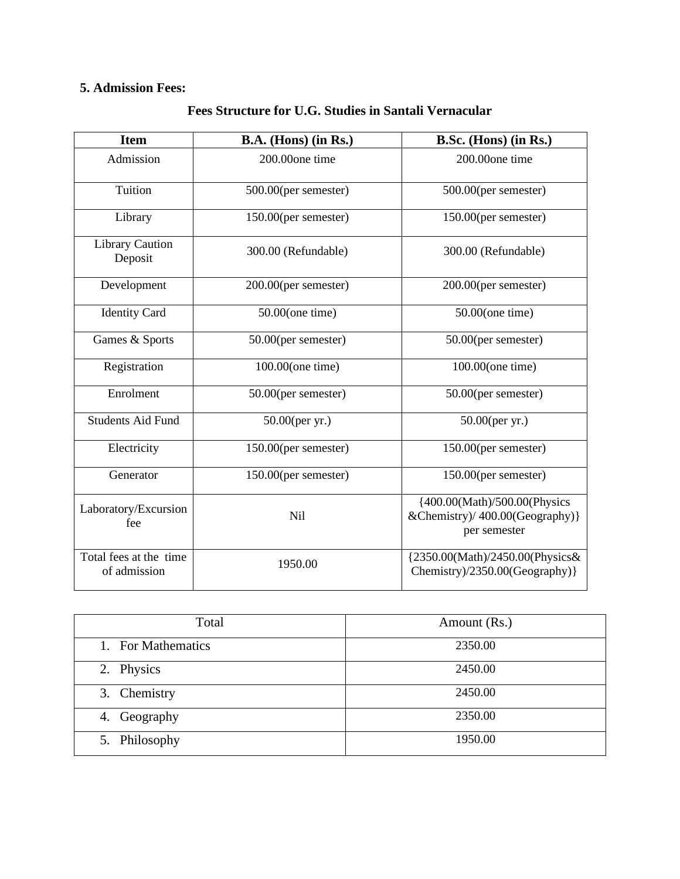# **5. Admission Fees:**

| <b>Item</b>                            | B.A. (Hons) (in Rs.) | B.Sc. (Hons) (in Rs.)                                                            |
|----------------------------------------|----------------------|----------------------------------------------------------------------------------|
| Admission                              | 200.00one time       | 200.00one time                                                                   |
| Tuition                                | 500.00(per semester) | 500.00(per semester)                                                             |
| Library                                | 150.00(per semester) | 150.00(per semester)                                                             |
| <b>Library Caution</b><br>Deposit      | 300.00 (Refundable)  | 300.00 (Refundable)                                                              |
| Development                            | 200.00(per semester) | 200.00(per semester)                                                             |
| <b>Identity Card</b>                   | $50.00$ (one time)   | $50.00$ (one time)                                                               |
| Games & Sports                         | 50.00(per semester)  | 50.00(per semester)                                                              |
| Registration                           | 100.00(one time)     | 100.00(one time)                                                                 |
| Enrolment                              | 50.00(per semester)  | 50.00(per semester)                                                              |
| <b>Students Aid Fund</b>               | $50.00$ (per yr.)    | $50.00$ (per yr.)                                                                |
| Electricity                            | 150.00(per semester) | 150.00(per semester)                                                             |
| Generator                              | 150.00(per semester) | 150.00(per semester)                                                             |
| Laboratory/Excursion<br>fee            | Nil                  | {400.00(Math)/500.00(Physics<br>&Chemistry)/ 400.00(Geography) }<br>per semester |
| Total fees at the time<br>of admission | 1950.00              | {2350.00(Math)/2450.00(Physics&<br>Chemistry)/2350.00(Geography) }               |

## **Fees Structure for U.G. Studies in Santali Vernacular**

| Total              | Amount (Rs.) |
|--------------------|--------------|
| 1. For Mathematics | 2350.00      |
| 2. Physics         | 2450.00      |
| 3. Chemistry       | 2450.00      |
| Geography<br>4.    | 2350.00      |
| 5. Philosophy      | 1950.00      |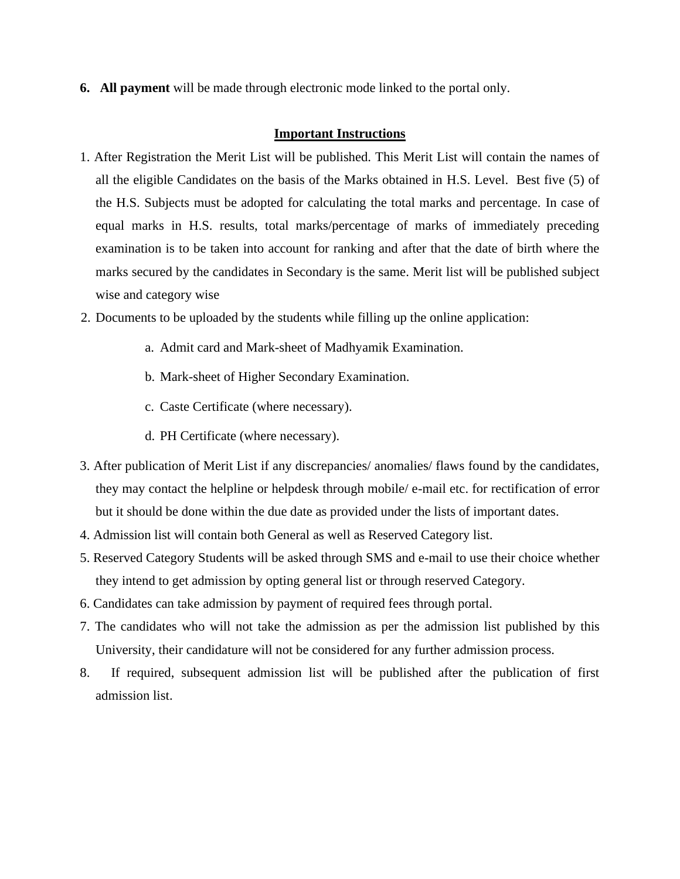**6. All payment** will be made through electronic mode linked to the portal only.

#### **Important Instructions**

- 1. After Registration the Merit List will be published. This Merit List will contain the names of all the eligible Candidates on the basis of the Marks obtained in H.S. Level. Best five (5) of the H.S. Subjects must be adopted for calculating the total marks and percentage. In case of equal marks in H.S. results, total marks/percentage of marks of immediately preceding examination is to be taken into account for ranking and after that the date of birth where the marks secured by the candidates in Secondary is the same. Merit list will be published subject wise and category wise
- 2. Documents to be uploaded by the students while filling up the online application:
	- a. Admit card and Mark-sheet of Madhyamik Examination.
	- b. Mark-sheet of Higher Secondary Examination.
	- c. Caste Certificate (where necessary).
	- d. PH Certificate (where necessary).
- 3. After publication of Merit List if any discrepancies/ anomalies/ flaws found by the candidates, they may contact the helpline or helpdesk through mobile/ e-mail etc. for rectification of error but it should be done within the due date as provided under the lists of important dates.
- 4. Admission list will contain both General as well as Reserved Category list.
- 5. Reserved Category Students will be asked through SMS and e-mail to use their choice whether they intend to get admission by opting general list or through reserved Category.
- 6. Candidates can take admission by payment of required fees through portal.
- 7. The candidates who will not take the admission as per the admission list published by this University, their candidature will not be considered for any further admission process.
- 8. If required, subsequent admission list will be published after the publication of first admission list.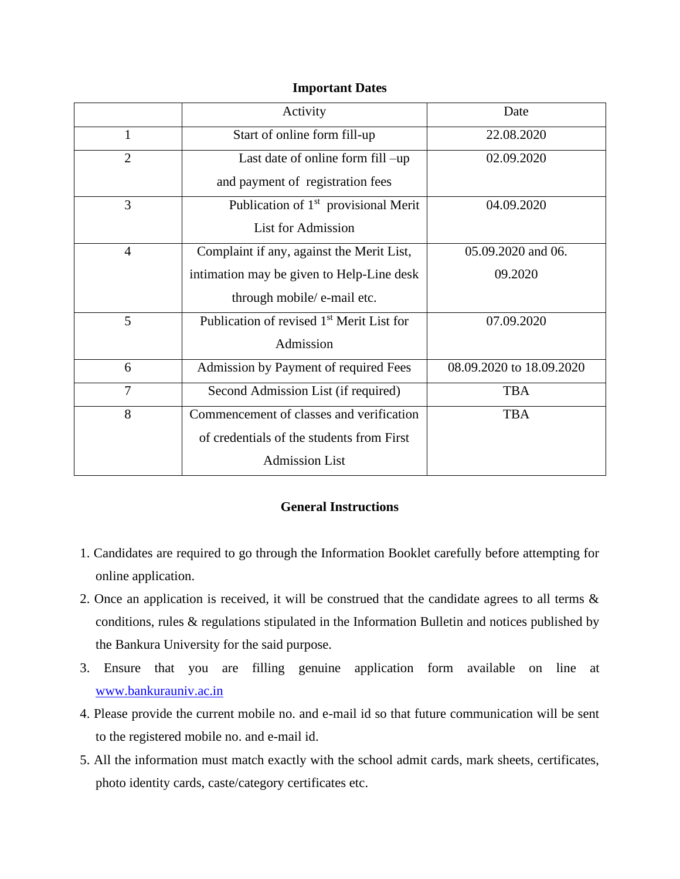#### **Important Dates**

|                | Activity                                              | Date                     |
|----------------|-------------------------------------------------------|--------------------------|
| 1              | Start of online form fill-up                          | 22.08.2020               |
| $\overline{2}$ | Last date of online form fill -up                     | 02.09.2020               |
|                | and payment of registration fees                      |                          |
| 3              | Publication of 1 <sup>st</sup> provisional Merit      | 04.09.2020               |
|                | <b>List for Admission</b>                             |                          |
| $\overline{4}$ | Complaint if any, against the Merit List,             | 05.09.2020 and 06.       |
|                | intimation may be given to Help-Line desk             | 09.2020                  |
|                | through mobile/ e-mail etc.                           |                          |
| 5              | Publication of revised 1 <sup>st</sup> Merit List for | 07.09.2020               |
|                | Admission                                             |                          |
| 6              | Admission by Payment of required Fees                 | 08.09.2020 to 18.09.2020 |
| $\overline{7}$ | Second Admission List (if required)                   | <b>TBA</b>               |
| 8              | Commencement of classes and verification              | <b>TBA</b>               |
|                | of credentials of the students from First             |                          |
|                | <b>Admission List</b>                                 |                          |

#### **General Instructions**

- 1. Candidates are required to go through the Information Booklet carefully before attempting for online application.
- 2. Once an application is received, it will be construed that the candidate agrees to all terms & conditions, rules & regulations stipulated in the Information Bulletin and notices published by the Bankura University for the said purpose.
- 3. Ensure that you are filling genuine application form available on line at [www.bankurauniv.ac.in](http://www.bankurauniv.ac.in/)
- 4. Please provide the current mobile no. and e-mail id so that future communication will be sent to the registered mobile no. and e-mail id.
- 5. All the information must match exactly with the school admit cards, mark sheets, certificates, photo identity cards, caste/category certificates etc.